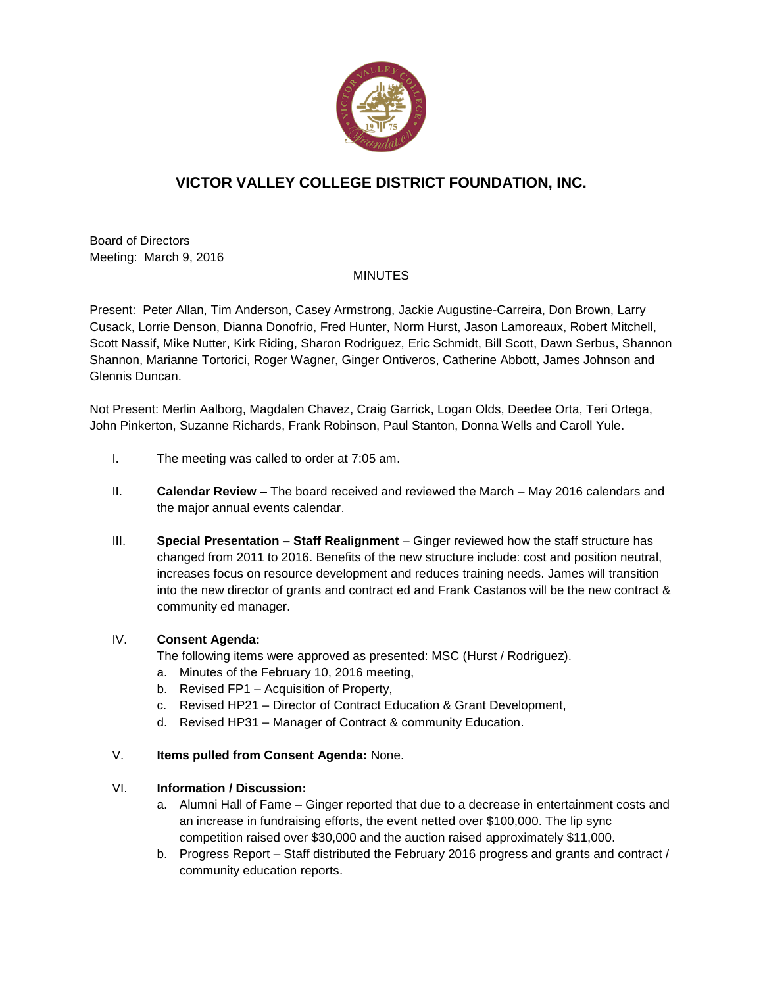

# **VICTOR VALLEY COLLEGE DISTRICT FOUNDATION, INC.**

Board of Directors Meeting: March 9, 2016

#### **MINUTES**

Present: Peter Allan, Tim Anderson, Casey Armstrong, Jackie Augustine-Carreira, Don Brown, Larry Cusack, Lorrie Denson, Dianna Donofrio, Fred Hunter, Norm Hurst, Jason Lamoreaux, Robert Mitchell, Scott Nassif, Mike Nutter, Kirk Riding, Sharon Rodriguez, Eric Schmidt, Bill Scott, Dawn Serbus, Shannon Shannon, Marianne Tortorici, Roger Wagner, Ginger Ontiveros, Catherine Abbott, James Johnson and Glennis Duncan.

Not Present: Merlin Aalborg, Magdalen Chavez, Craig Garrick, Logan Olds, Deedee Orta, Teri Ortega, John Pinkerton, Suzanne Richards, Frank Robinson, Paul Stanton, Donna Wells and Caroll Yule.

- I. The meeting was called to order at 7:05 am.
- II. **Calendar Review –** The board received and reviewed the March May 2016 calendars and the major annual events calendar.
- III. **Special Presentation – Staff Realignment**  Ginger reviewed how the staff structure has changed from 2011 to 2016. Benefits of the new structure include: cost and position neutral, increases focus on resource development and reduces training needs. James will transition into the new director of grants and contract ed and Frank Castanos will be the new contract & community ed manager.

#### IV. **Consent Agenda:**

The following items were approved as presented: MSC (Hurst / Rodriguez).

- a. Minutes of the February 10, 2016 meeting,
- b. Revised FP1 Acquisition of Property,
- c. Revised HP21 Director of Contract Education & Grant Development,
- d. Revised HP31 Manager of Contract & community Education.
- V. **Items pulled from Consent Agenda:** None.

### VI. **Information / Discussion:**

- a. Alumni Hall of Fame Ginger reported that due to a decrease in entertainment costs and an increase in fundraising efforts, the event netted over \$100,000. The lip sync competition raised over \$30,000 and the auction raised approximately \$11,000.
- b. Progress Report Staff distributed the February 2016 progress and grants and contract / community education reports.